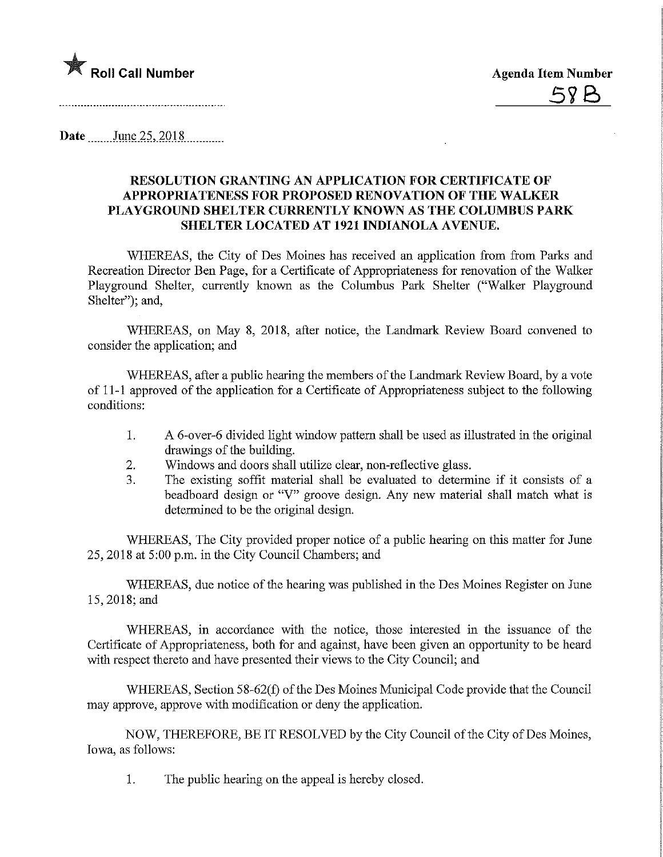

Date June 25, 2018

## RESOLUTION GRANTING AN APPLICATION FOR CERTIFICATE OF APPROPRIATENESS FOR PROPOSED RENOVATION OF THE WALKER PLAYGROUND SHELTER CURRENTLY KNOWN AS THE COLUMBUS PARK SHELTER LOCATED AT 1921 INDIANOLA AVENUE.

WHEREAS, the City of Des Moines has received an application from from Parks and Recreation Director Ben Page, for a Certificate of Appropriateness for renovation of the Walker Playground Shelter, currently known as the Columbus Park Shelter ("Walker Playground") Shelter"): and,

WHEREAS, on May 8, 2018, after notice, the Landmark Review Board convened to consider the application; and

WHEREAS, after a public hearing the members of the Landmark Review Board, by a vote of 11-1 approved of the application for a Certificate of Appropriateness subject to the following conditions:

- 1. A 6-over-6 divided light window pattern shall be used as illustrated in the original drawings of the building.
- 2. Windows and doors shall utilize clear, non-reflective glass.
- 3. The existing soffit material shall be evaluated to determine if it consists of a beadboard design or "V" groove design. Any new material shall match what is determined to be the original design.

WHEREAS, The City provided proper notice of a public hearing on this matter for June 25, 2018 at 5:00 p.m. in the City Council Chambers; and

WHEREAS, due notice of the hearing was published in the Des Moines Register on June 15,2018;and

WHEREAS, in accordance with the notice, those interested in the issuance of the Certificate of Appropriateness, both for and against, have been given an opportunity to be heard with respect thereto and have presented their views to the City Council; and

WHEREAS, Section 58-62(f) of the Des Moines Municipal Code provide that the Council may approve, approve with modification or deny the application.

NOW, THEREFORE, BE IT RESOLVED by the City Council of the City of Des Moines, Iowa, as follows:

1. The public hearing on the appeal is hereby closed.